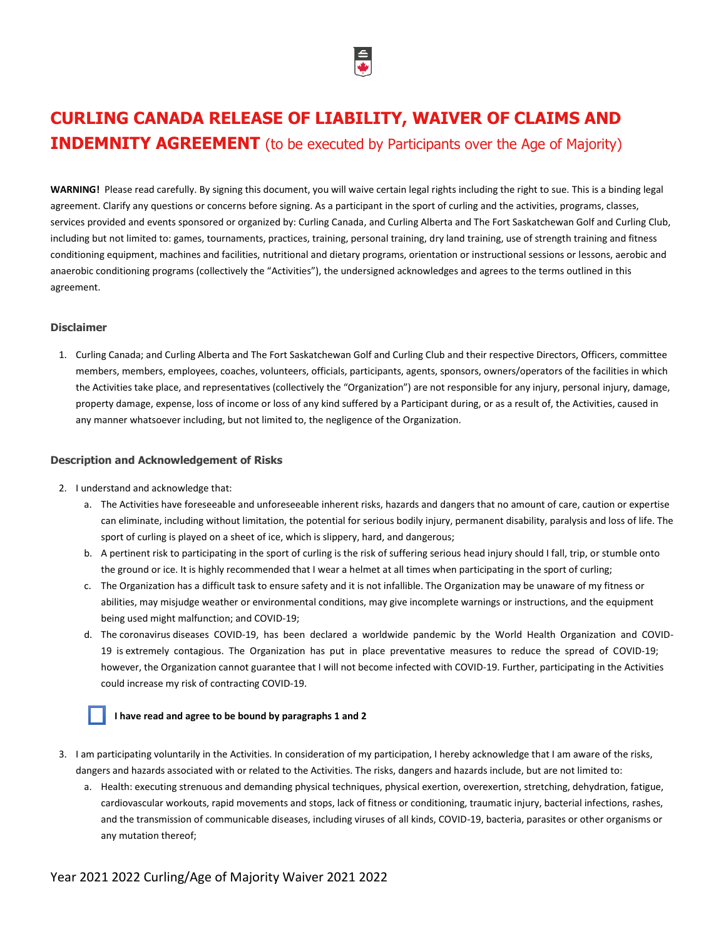

# **CURLING CANADA RELEASE OF LIABILITY, WAIVER OF CLAIMS AND INDEMNITY AGREEMENT** (to be executed by Participants over the Age of Majority)

**WARNING!** Please read carefully. By signing this document, you will waive certain legal rights including the right to sue. This is a binding legal agreement. Clarify any questions or concerns before signing. As a participant in the sport of curling and the activities, programs, classes, services provided and events sponsored or organized by: Curling Canada, and Curling Alberta and The Fort Saskatchewan Golf and Curling Club, including but not limited to: games, tournaments, practices, training, personal training, dry land training, use of strength training and fitness conditioning equipment, machines and facilities, nutritional and dietary programs, orientation or instructional sessions or lessons, aerobic and anaerobic conditioning programs (collectively the "Activities"), the undersigned acknowledges and agrees to the terms outlined in this agreement.

### **Disclaimer**

1. Curling Canada; and Curling Alberta and The Fort Saskatchewan Golf and Curling Club and their respective Directors, Officers, committee members, members, employees, coaches, volunteers, officials, participants, agents, sponsors, owners/operators of the facilities in which the Activities take place, and representatives (collectively the "Organization") are not responsible for any injury, personal injury, damage, property damage, expense, loss of income or loss of any kind suffered by a Participant during, or as a result of, the Activities, caused in any manner whatsoever including, but not limited to, the negligence of the Organization.

### **Description and Acknowledgement of Risks**

- 2. I understand and acknowledge that:
	- a. The Activities have foreseeable and unforeseeable inherent risks, hazards and dangers that no amount of care, caution or expertise can eliminate, including without limitation, the potential for serious bodily injury, permanent disability, paralysis and loss of life. The sport of curling is played on a sheet of ice, which is slippery, hard, and dangerous;
	- b. A pertinent risk to participating in the sport of curling is the risk of suffering serious head injury should I fall, trip, or stumble onto the ground or ice. It is highly recommended that I wear a helmet at all times when participating in the sport of curling;
	- c. The Organization has a difficult task to ensure safety and it is not infallible. The Organization may be unaware of my fitness or abilities, may misjudge weather or environmental conditions, may give incomplete warnings or instructions, and the equipment being used might malfunction; and COVID-19;
	- d. The coronavirus diseases COVID-19, has been declared a worldwide pandemic by the World Health Organization and COVID-19 is extremely contagious. The Organization has put in place preventative measures to reduce the spread of COVID-19; however, the Organization cannot guarantee that I will not become infected with COVID-19. Further, participating in the Activities could increase my risk of contracting COVID-19.

# **I have read and agree to be bound by paragraphs 1 and 2**

- 3. I am participating voluntarily in the Activities. In consideration of my participation, I hereby acknowledge that I am aware of the risks, dangers and hazards associated with or related to the Activities. The risks, dangers and hazards include, but are not limited to:
	- a. Health: executing strenuous and demanding physical techniques, physical exertion, overexertion, stretching, dehydration, fatigue, cardiovascular workouts, rapid movements and stops, lack of fitness or conditioning, traumatic injury, bacterial infections, rashes, and the transmission of communicable diseases, including viruses of all kinds, COVID-19, bacteria, parasites or other organisms or any mutation thereof;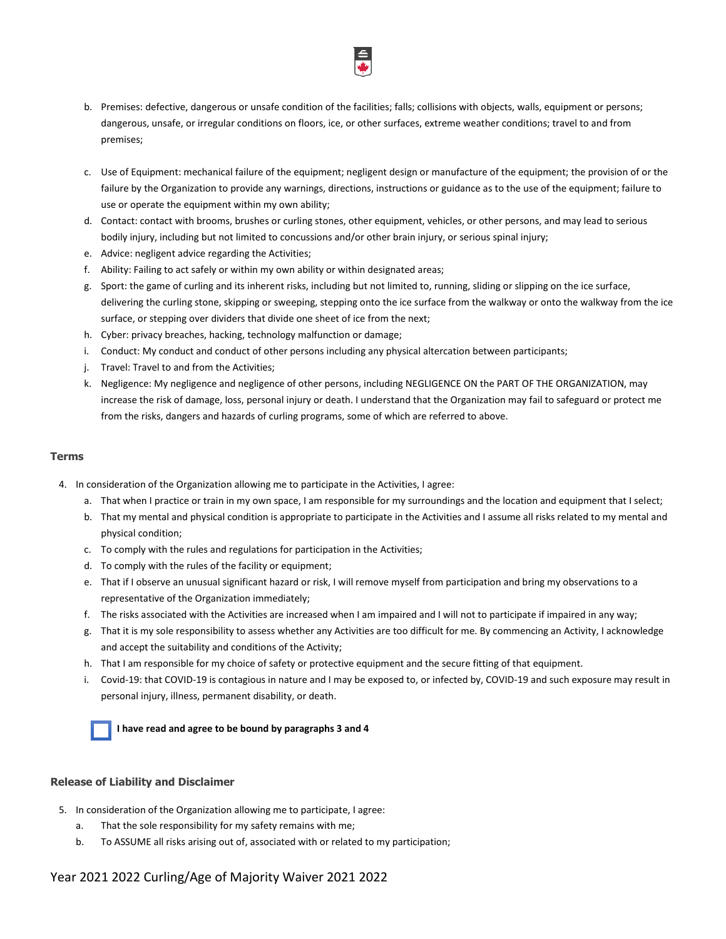

- b. Premises: defective, dangerous or unsafe condition of the facilities; falls; collisions with objects, walls, equipment or persons; dangerous, unsafe, or irregular conditions on floors, ice, or other surfaces, extreme weather conditions; travel to and from premises;
- c. Use of Equipment: mechanical failure of the equipment; negligent design or manufacture of the equipment; the provision of or the failure by the Organization to provide any warnings, directions, instructions or guidance as to the use of the equipment; failure to use or operate the equipment within my own ability;
- d. Contact: contact with brooms, brushes or curling stones, other equipment, vehicles, or other persons, and may lead to serious bodily injury, including but not limited to concussions and/or other brain injury, or serious spinal injury;
- e. Advice: negligent advice regarding the Activities;
- f. Ability: Failing to act safely or within my own ability or within designated areas;
- g. Sport: the game of curling and its inherent risks, including but not limited to, running, sliding or slipping on the ice surface, delivering the curling stone, skipping or sweeping, stepping onto the ice surface from the walkway or onto the walkway from the ice surface, or stepping over dividers that divide one sheet of ice from the next;
- h. Cyber: privacy breaches, hacking, technology malfunction or damage;
- i. Conduct: My conduct and conduct of other persons including any physical altercation between participants;
- j. Travel: Travel to and from the Activities;
- k. Negligence: My negligence and negligence of other persons, including NEGLIGENCE ON the PART OF THE ORGANIZATION, may increase the risk of damage, loss, personal injury or death. I understand that the Organization may fail to safeguard or protect me from the risks, dangers and hazards of curling programs, some of which are referred to above.

## **Terms**

- 4. In consideration of the Organization allowing me to participate in the Activities, I agree:
	- a. That when I practice or train in my own space, I am responsible for my surroundings and the location and equipment that I select;
	- b. That my mental and physical condition is appropriate to participate in the Activities and I assume all risks related to my mental and physical condition;
	- c. To comply with the rules and regulations for participation in the Activities;
	- d. To comply with the rules of the facility or equipment;
	- e. That if I observe an unusual significant hazard or risk, I will remove myself from participation and bring my observations to a representative of the Organization immediately;
	- f. The risks associated with the Activities are increased when I am impaired and I will not to participate if impaired in any way;
	- g. That it is my sole responsibility to assess whether any Activities are too difficult for me. By commencing an Activity, I acknowledge and accept the suitability and conditions of the Activity;
	- h. That I am responsible for my choice of safety or protective equipment and the secure fitting of that equipment.
	- i. Covid-19: that COVID-19 is contagious in nature and I may be exposed to, or infected by, COVID-19 and such exposure may result in personal injury, illness, permanent disability, or death.

**I have read and agree to be bound by paragraphs 3 and 4**

## **Release of Liability and Disclaimer**

- 5. In consideration of the Organization allowing me to participate, I agree:
	- a. That the sole responsibility for my safety remains with me;
	- b. To ASSUME all risks arising out of, associated with or related to my participation;

# Year 2021 2022 Curling/Age of Majority Waiver 2021 2022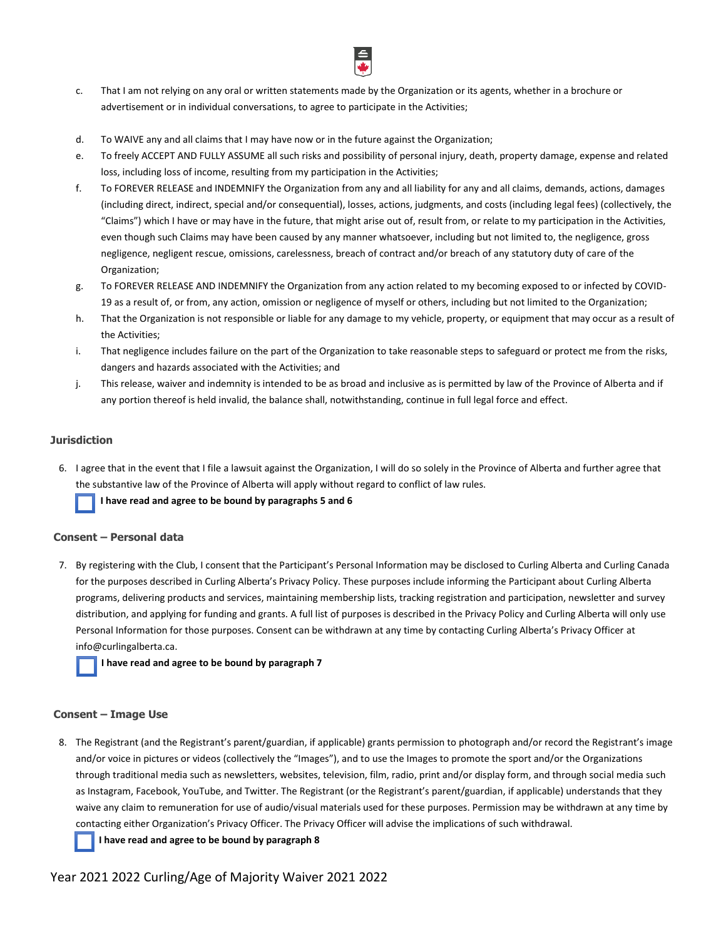

- c. That I am not relying on any oral or written statements made by the Organization or its agents, whether in a brochure or advertisement or in individual conversations, to agree to participate in the Activities;
- d. To WAIVE any and all claims that I may have now or in the future against the Organization;
- e. To freely ACCEPT AND FULLY ASSUME all such risks and possibility of personal injury, death, property damage, expense and related loss, including loss of income, resulting from my participation in the Activities;
- f. To FOREVER RELEASE and INDEMNIFY the Organization from any and all liability for any and all claims, demands, actions, damages (including direct, indirect, special and/or consequential), losses, actions, judgments, and costs (including legal fees) (collectively, the "Claims") which I have or may have in the future, that might arise out of, result from, or relate to my participation in the Activities, even though such Claims may have been caused by any manner whatsoever, including but not limited to, the negligence, gross negligence, negligent rescue, omissions, carelessness, breach of contract and/or breach of any statutory duty of care of the Organization;
- g. To FOREVER RELEASE AND INDEMNIFY the Organization from any action related to my becoming exposed to or infected by COVID-19 as a result of, or from, any action, omission or negligence of myself or others, including but not limited to the Organization;
- h. That the Organization is not responsible or liable for any damage to my vehicle, property, or equipment that may occur as a result of the Activities;
- i. That negligence includes failure on the part of the Organization to take reasonable steps to safeguard or protect me from the risks, dangers and hazards associated with the Activities; and
- j. This release, waiver and indemnity is intended to be as broad and inclusive as is permitted by law of the Province of Alberta and if any portion thereof is held invalid, the balance shall, notwithstanding, continue in full legal force and effect.

## **Jurisdiction**

6. I agree that in the event that I file a lawsuit against the Organization, I will do so solely in the Province of Alberta and further agree that the substantive law of the Province of Alberta will apply without regard to conflict of law rules.

 **I have read and agree to be bound by paragraphs 5 and 6**

## **Consent – Personal data**

7. By registering with the Club, I consent that the Participant's Personal Information may be disclosed to Curling Alberta and Curling Canada for the purposes described in Curling Alberta's Privacy Policy. These purposes include informing the Participant about Curling Alberta programs, delivering products and services, maintaining membership lists, tracking registration and participation, newsletter and survey distribution, and applying for funding and grants. A full list of purposes is described in the Privacy Policy and Curling Alberta will only use Personal Information for those purposes. Consent can be withdrawn at any time by contacting Curling Alberta's Privacy Officer at [info@curlingalberta.ca.](mailto:info@curlingalberta.ca) 

 **I have read and agree to be bound by paragraph 7**

## **Consent – Image Use**

8. The Registrant (and the Registrant's parent/guardian, if applicable) grants permission to photograph and/or record the Registrant's image and/or voice in pictures or videos (collectively the "Images"), and to use the Images to promote the sport and/or the Organizations through traditional media such as newsletters, websites, television, film, radio, print and/or display form, and through social media such as Instagram, Facebook, YouTube, and Twitter. The Registrant (or the Registrant's parent/guardian, if applicable) understands that they waive any claim to remuneration for use of audio/visual materials used for these purposes. Permission may be withdrawn at any time by contacting either Organization's Privacy Officer. The Privacy Officer will advise the implications of such withdrawal.

 **I have read and agree to be bound by paragraph 8**